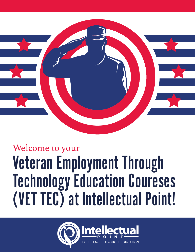

## Welcome to your Veteran Employment Through Technology Education Coureses (VET TEC) at Intellectual Point!

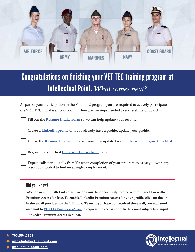

## Congratulations on finishing your VET TEC training program at Intellectual Point. *What comes next?*

As part of your participation in the VET TEC program you are required to actively participate in the VET TEC Employer Consortium. Here are the steps needed to successfully onboard:

Fill out the **[Resume Intake Form](https://info.intellectualpoint.com/en-us/resume-reg)** so we can help update your resume.

Create a **[LinkedIn profile](https://www.linkedin.com/)** or if you already have a profile, update your profile.

Utilize the **[Resume Engine](https://www.resumeengine.org/#/)** to upload your new updated resume. **[Resume Engine Checklist](https://www.sharedfedtraining.org/external/VBAEDU/REChecklist.pdf)**

Register for your first **[Employer Consortium](https://benefits.va.gov/gibill/fgib/vettecemployerconsortium.asp)** event.

Expect calls periodically from VA upon completion of your program to assist you with any resources needed to find meaningful employment.

## Did you know?

**VA's partnership with LinkedIn provides you the opportunity to receive one year of LinkedIn Premium Access for free. To enable LinkedIn Premium Access for your profile, click on the link in the email provided by the VET TEC Team. If you have not received the email, you may send an email to [VETTECPartner@VA.gov](mailto:VETTECPartner%40VA.gov?subject=) to request the access code. In the email subject line input "LinkedIn Premium Access Request."**

**703.554.3827** 

**[info@intellectualpoint.com](mailto:info%40intellectualpoint.com?subject=)**